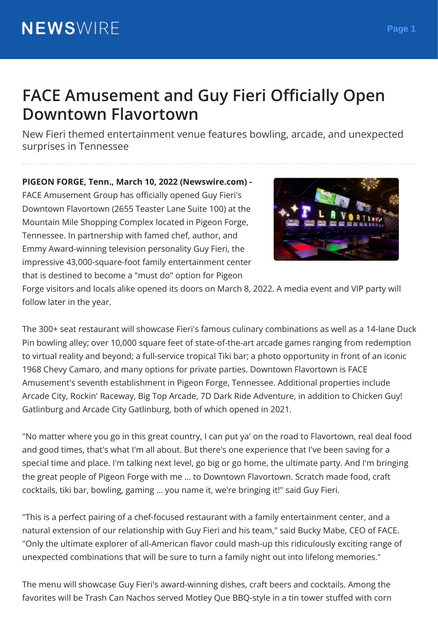## **FACE Amusement and Guy Fieri Ocially Open Downtown Flavortown**

New Fieri themed entertainment venue features bowling, arcade, and unexpected surprises in Tennessee

**PIGEON FORGE, Tenn., March 10, 2022 (Newswire.com) -** FACE Amusement Group has officially opened Guy Fieri's Downtown Flavortown (2655 Teaster Lane Suite 100) at the Mountain Mile Shopping Complex located in Pigeon Forge, Tennessee. In partnership with famed chef, author, and Emmy Award-winning television personality Guy Fieri, the impressive 43,000-square-foot family entertainment center that is destined to become a "must do" option for Pigeon



Forge visitors and locals alike opened its doors on March 8, 2022. A media event and VIP party will follow later in the year.

The 300+ seat restaurant will showcase Fieri's famous culinary combinations as well as a 14-lane Duck Pin bowling alley; over 10,000 square feet of state-of-the-art arcade games ranging from redemption to virtual reality and beyond; a full-service tropical Tiki bar; a photo opportunity in front of an iconic 1968 Chevy Camaro, and many options for private parties. Downtown Flavortown is FACE Amusement's seventh establishment in Pigeon Forge, Tennessee. Additional properties include Arcade City, Rockin' Raceway, Big Top Arcade, 7D Dark Ride Adventure, in addition to Chicken Guy! Gatlinburg and Arcade City Gatlinburg, both of which opened in 2021.

"No matter where you go in this great country, I can put ya' on the road to Flavortown, real deal food and good times, that's what I'm all about. But there's one experience that I've been saving for a special time and place. I'm talking next level, go big or go home, the ultimate party. And I'm bringing the great people of Pigeon Forge with me … to Downtown Flavortown. Scratch made food, craft cocktails, tiki bar, bowling, gaming … you name it, we're bringing it!" said Guy Fieri.

"This is a perfect pairing of a chef-focused restaurant with a family entertainment center, and a natural extension of our relationship with Guy Fieri and his team," said Bucky Mabe, CEO of FACE. "Only the ultimate explorer of all-American flavor could mash-up this ridiculously exciting range of unexpected combinations that will be sure to turn a family night out into lifelong memories."

The menu will showcase Guy Fieri's award-winning dishes, craft beers and cocktails. Among the favorites will be Trash Can Nachos served Motley Que BBQ-style in a tin tower stuffed with corn